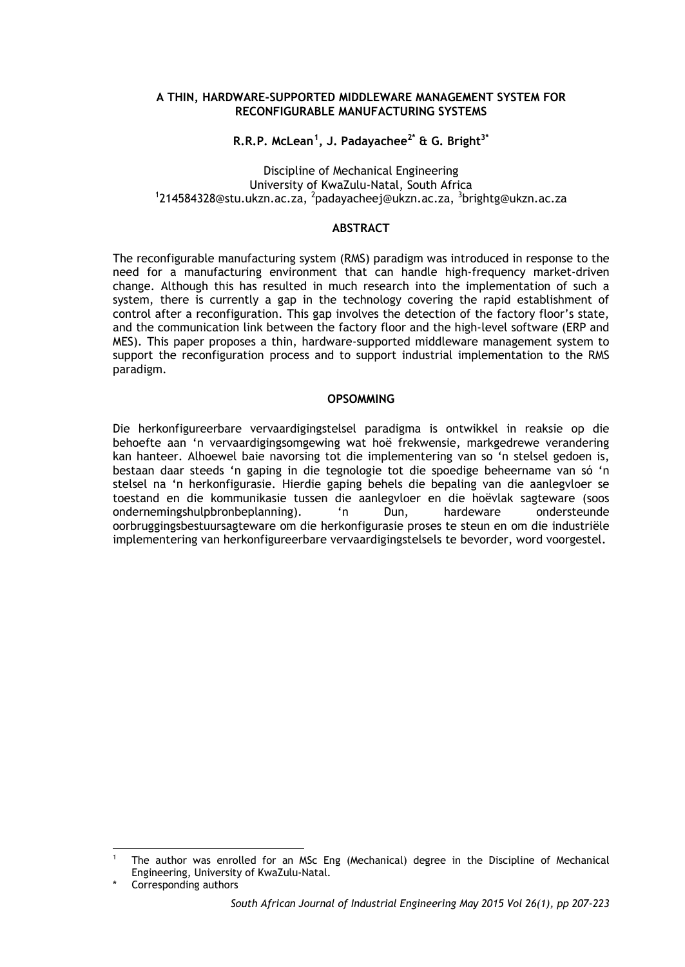#### **A THIN, HARDWARE-SUPPORTED MIDDLEWARE MANAGEMENT SYSTEM FOR RECONFIGURABLE MANUFACTURING SYSTEMS**

**R.R.P. McLean[1](#page-0-0) , J. Padayachee2\* & G. Bright3\***

# Discipline of Mechanical Engineering<br>University of KwaZulu-Natal, South Africa University of KwaZulu-Natal, South Africa<br><sup>1</sup>[214584328@stu.ukzn.ac.za,](mailto:214584328@stu.ukzn.ac.za) <sup>2</sup>[padayacheej@ukzn.ac.za,](mailto:padayacheej@ukzn.ac.za) <sup>3</sup>brightg@ukzn.ac.za

# **ABSTRACT**

The reconfigurable manufacturing system (RMS) paradigm was introduced in response to the need for a manufacturing environment that can handle high-frequency market-driven change. Although this has resulted in much research into the implementation of such a system, there is currently a gap in the technology covering the rapid establishment of control after a reconfiguration. This gap involves the detection of the factory floor's state, and the communication link between the factory floor and the high-level software (ERP and MES). This paper proposes a thin, hardware-supported middleware management system to support the reconfiguration process and to support industrial implementation to the RMS paradigm.

## **OPSOMMING**

Die herkonfigureerbare vervaardigingstelsel paradigma is ontwikkel in reaksie op die behoefte aan 'n vervaardigingsomgewing wat hoë frekwensie, markgedrewe verandering kan hanteer. Alhoewel baie navorsing tot die implementering van so 'n stelsel gedoen is, bestaan daar steeds 'n gaping in die tegnologie tot die spoedige beheername van só 'n stelsel na 'n herkonfigurasie. Hierdie gaping behels die bepaling van die aanlegvloer se toestand en die kommunikasie tussen die aanlegvloer en die hoëvlak sagteware (soos ondernemingshulpbronbeplanning). 'n Dun, hardeware ondersteunde oorbruggingsbestuursagteware om die herkonfigurasie proses te steun en om die industriële implementering van herkonfigureerbare vervaardigingstelsels te bevorder, word voorgestel.

-

<span id="page-0-0"></span><sup>1</sup> The author was enrolled for an MSc Eng (Mechanical) degree in the Discipline of Mechanical Engineering, University of KwaZulu-Natal.

Corresponding authors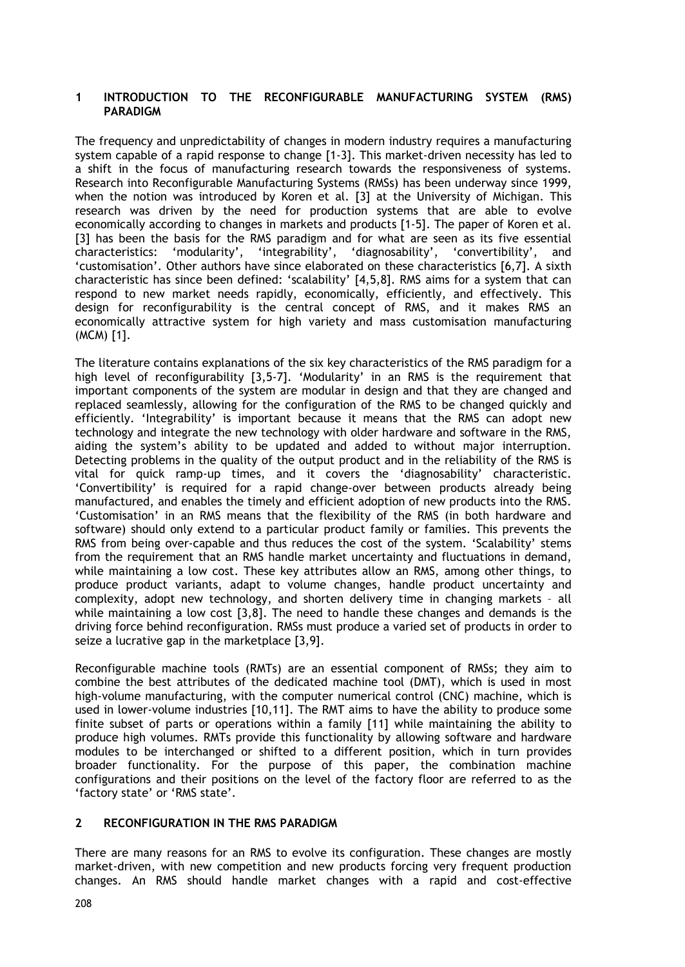## **1 INTRODUCTION TO THE RECONFIGURABLE MANUFACTURING SYSTEM (RMS) PARADIGM**

The frequency and unpredictability of changes in modern industry requires a manufacturing system capable of a rapid response to change [1-3]. This market-driven necessity has led to a shift in the focus of manufacturing research towards the responsiveness of systems. Research into Reconfigurable Manufacturing Systems (RMSs) has been underway since 1999, when the notion was introduced by Koren et al. [3] at the University of Michigan. This research was driven by the need for production systems that are able to evolve economically according to changes in markets and products [1-5]. The paper of Koren et al. [3] has been the basis for the RMS paradigm and for what are seen as its five essential characteristics: 'modularity', 'integrability', 'diagnosability', 'convertibility', and 'customisation'. Other authors have since elaborated on these characteristics [6,7]. A sixth characteristic has since been defined: 'scalability' [4,5,8]. RMS aims for a system that can respond to new market needs rapidly, economically, efficiently, and effectively. This design for reconfigurability is the central concept of RMS, and it makes RMS an economically attractive system for high variety and mass customisation manufacturing (MCM) [1].

The literature contains explanations of the six key characteristics of the RMS paradigm for a high level of reconfigurability [3,5-7]. 'Modularity' in an RMS is the requirement that important components of the system are modular in design and that they are changed and replaced seamlessly, allowing for the configuration of the RMS to be changed quickly and efficiently. 'Integrability' is important because it means that the RMS can adopt new technology and integrate the new technology with older hardware and software in the RMS, aiding the system's ability to be updated and added to without major interruption. Detecting problems in the quality of the output product and in the reliability of the RMS is vital for quick ramp-up times, and it covers the 'diagnosability' characteristic. 'Convertibility' is required for a rapid change-over between products already being manufactured, and enables the timely and efficient adoption of new products into the RMS. 'Customisation' in an RMS means that the flexibility of the RMS (in both hardware and software) should only extend to a particular product family or families. This prevents the RMS from being over-capable and thus reduces the cost of the system. 'Scalability' stems from the requirement that an RMS handle market uncertainty and fluctuations in demand, while maintaining a low cost. These key attributes allow an RMS, among other things, to produce product variants, adapt to volume changes, handle product uncertainty and complexity, adopt new technology, and shorten delivery time in changing markets – all while maintaining a low cost [3,8]. The need to handle these changes and demands is the driving force behind reconfiguration. RMSs must produce a varied set of products in order to seize a lucrative gap in the marketplace [3,9].

Reconfigurable machine tools (RMTs) are an essential component of RMSs; they aim to combine the best attributes of the dedicated machine tool (DMT), which is used in most high-volume manufacturing, with the computer numerical control (CNC) machine, which is used in lower-volume industries [10,11]. The RMT aims to have the ability to produce some finite subset of parts or operations within a family [11] while maintaining the ability to produce high volumes. RMTs provide this functionality by allowing software and hardware modules to be interchanged or shifted to a different position, which in turn provides broader functionality. For the purpose of this paper, the combination machine configurations and their positions on the level of the factory floor are referred to as the 'factory state' or 'RMS state'.

### **2 RECONFIGURATION IN THE RMS PARADIGM**

There are many reasons for an RMS to evolve its configuration. These changes are mostly market-driven, with new competition and new products forcing very frequent production changes. An RMS should handle market changes with a rapid and cost-effective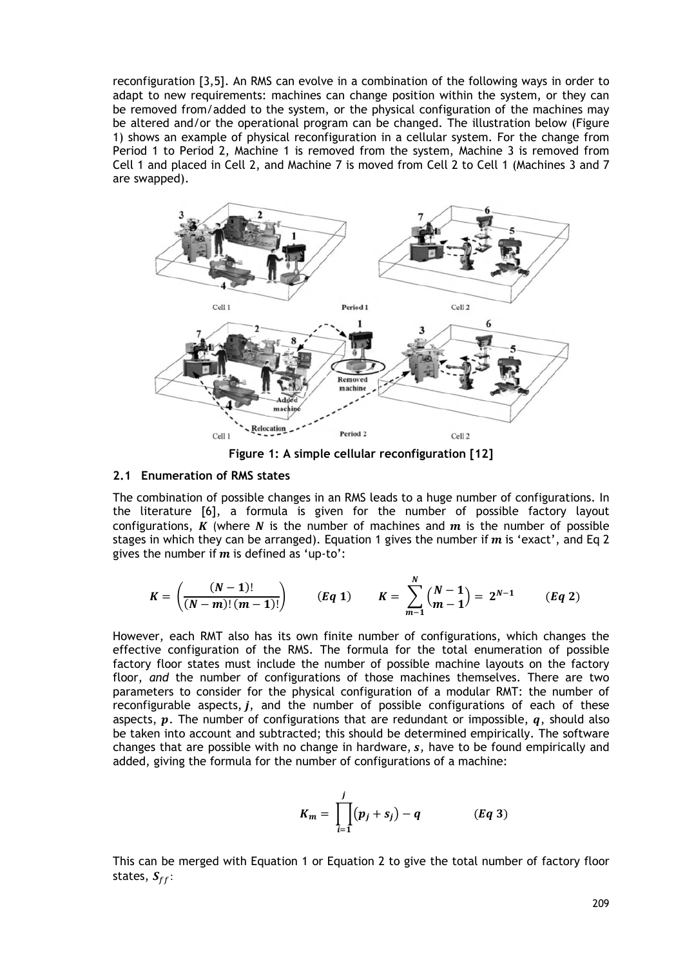reconfiguration [3,5]. An RMS can evolve in a combination of the following ways in order to adapt to new requirements: machines can change position within the system, or they can be removed from/added to the system, or the physical configuration of the machines may be altered and/or the operational program can be changed. The illustration below (Figure 1) shows an example of physical reconfiguration in a cellular system. For the change from Period 1 to Period 2, Machine 1 is removed from the system, Machine 3 is removed from Cell 1 and placed in Cell 2, and Machine 7 is moved from Cell 2 to Cell 1 (Machines 3 and 7 are swapped).



**Figure 1: A simple cellular reconfiguration [12]**

#### **2.1 Enumeration of RMS states**

The combination of possible changes in an RMS leads to a huge number of configurations. In the literature [6], a formula is given for the number of possible factory layout configurations, K (where N is the number of machines and  $m$  is the number of possible stages in which they can be arranged). Equation 1 gives the number if  $m$  is 'exact', and Eq 2 gives the number if  $m$  is defined as 'up-to':

$$
K = \left(\frac{(N-1)!}{(N-m)!(m-1)!}\right) \qquad (Eq 1) \qquad K = \sum_{m-1}^{N} {N-1 \choose m-1} = 2^{N-1} \qquad (Eq 2)
$$

However, each RMT also has its own finite number of configurations, which changes the effective configuration of the RMS. The formula for the total enumeration of possible factory floor states must include the number of possible machine layouts on the factory floor, *and* the number of configurations of those machines themselves. There are two parameters to consider for the physical configuration of a modular RMT: the number of reconfigurable aspects,  $j$ , and the number of possible configurations of each of these aspects,  $p$ . The number of configurations that are redundant or impossible,  $q$ , should also be taken into account and subtracted; this should be determined empirically. The software changes that are possible with no change in hardware,  $s$ , have to be found empirically and added, giving the formula for the number of configurations of a machine:

$$
K_m = \prod_{i=1}^{j} (p_j + s_j) - q \qquad (Eq 3)
$$

This can be merged with Equation 1 or Equation 2 to give the total number of factory floor states,  $S_{ff}$ :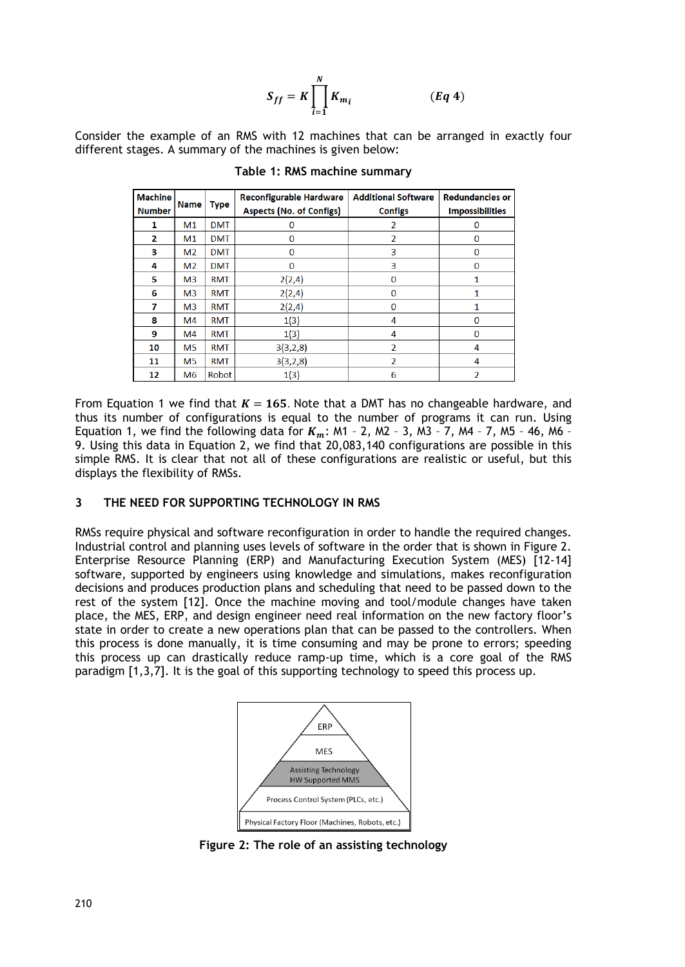$$
S_{ff} = K \prod_{i=1}^{N} K_{m_i}
$$
 (Eq 4)

Consider the example of an RMS with 12 machines that can be arranged in exactly four different stages. A summary of the machines is given below:

| <b>Machine</b><br><b>Number</b> | <b>Name</b>    | <b>Type</b> | <b>Reconfigurable Hardware</b><br><b>Aspects (No. of Configs)</b> | <b>Additional Software</b><br><b>Configs</b> | <b>Redundancies or</b><br><b>Impossibilities</b> |
|---------------------------------|----------------|-------------|-------------------------------------------------------------------|----------------------------------------------|--------------------------------------------------|
| 1                               | M <sub>1</sub> | <b>DMT</b>  | $\Omega$                                                          | $\overline{\phantom{a}}$                     | $\Omega$                                         |
| $\overline{2}$                  | M <sub>1</sub> | <b>DMT</b>  | $\bf{0}$                                                          | $\overline{2}$                               | $\bf{0}$                                         |
| з                               | M <sub>2</sub> | <b>DMT</b>  | $\Omega$                                                          | 3                                            | $\Omega$                                         |
| 4                               | M <sub>2</sub> | <b>DMT</b>  | $\Omega$                                                          | 3                                            | $\Omega$                                         |
| 5                               | M <sub>3</sub> | <b>RMT</b>  | 2(2,4)                                                            | $\bf{0}$                                     |                                                  |
| 6                               | M <sub>3</sub> | <b>RMT</b>  | 2(2,4)                                                            | $\Omega$                                     |                                                  |
| 7                               | M <sub>3</sub> | <b>RMT</b>  | 2(2,4)                                                            | $\Omega$                                     |                                                  |
| 8                               | M <sub>4</sub> | <b>RMT</b>  | 1(3)                                                              | 4                                            | $\Omega$                                         |
| 9                               | M4             | <b>RMT</b>  | 1(3)                                                              | 4                                            | $\Omega$                                         |
| 10                              | M <sub>5</sub> | <b>RMT</b>  | 3(3,2,8)                                                          | $\overline{2}$                               | 4                                                |
| 11                              | <b>M5</b>      | <b>RMT</b>  | 3(3,2,8)                                                          | $\overline{\phantom{a}}$                     | 4                                                |
| 12                              | M <sub>6</sub> | Robot       | 1(3)                                                              | 6                                            | $\overline{2}$                                   |

**Table 1: RMS machine summary**

From Equation 1 we find that  $K = 165$ . Note that a DMT has no changeable hardware, and thus its number of configurations is equal to the number of programs it can run. Using Equation 1, we find the following data for  $K_m$ : M1 - 2, M2 - 3, M3 - 7, M4 - 7, M5 - 46, M6 -9. Using this data in Equation 2, we find that 20,083,140 configurations are possible in this simple RMS. It is clear that not all of these configurations are realistic or useful, but this displays the flexibility of RMSs.

## **3 THE NEED FOR SUPPORTING TECHNOLOGY IN RMS**

RMSs require physical and software reconfiguration in order to handle the required changes. Industrial control and planning uses levels of software in the order that is shown in Figure 2. Enterprise Resource Planning (ERP) and Manufacturing Execution System (MES) [12-14] software, supported by engineers using knowledge and simulations, makes reconfiguration decisions and produces production plans and scheduling that need to be passed down to the rest of the system [12]. Once the machine moving and tool/module changes have taken place, the MES, ERP, and design engineer need real information on the new factory floor's state in order to create a new operations plan that can be passed to the controllers. When this process is done manually, it is time consuming and may be prone to errors; speeding this process up can drastically reduce ramp-up time, which is a core goal of the RMS paradigm [1,3,7]. It is the goal of this supporting technology to speed this process up.



**Figure 2: The role of an assisting technology**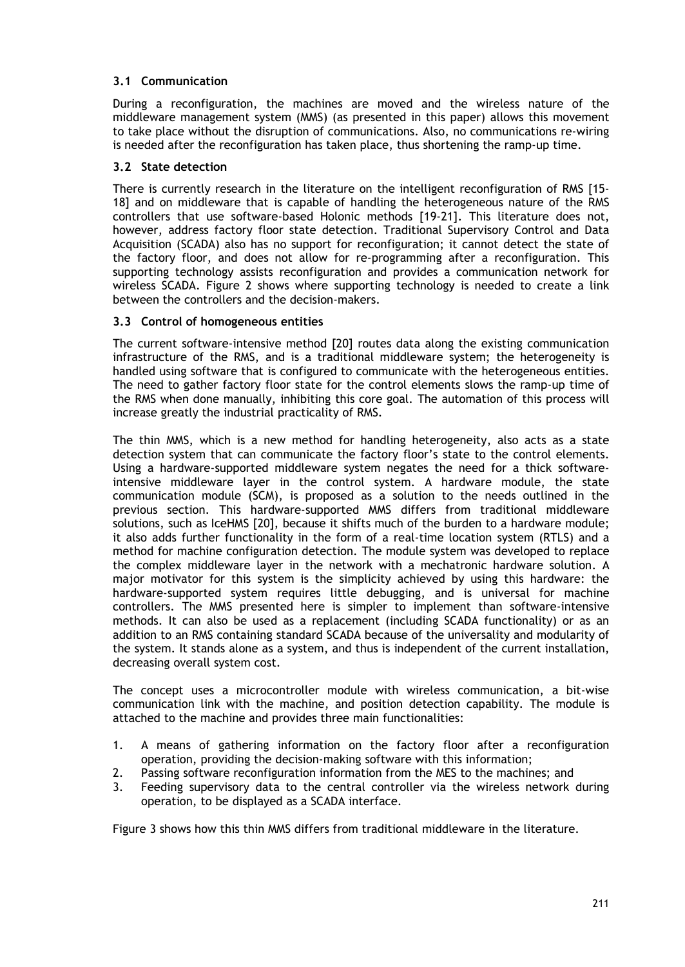# **3.1 Communication**

During a reconfiguration, the machines are moved and the wireless nature of the middleware management system (MMS) (as presented in this paper) allows this movement to take place without the disruption of communications. Also, no communications re-wiring is needed after the reconfiguration has taken place, thus shortening the ramp-up time.

# **3.2 State detection**

There is currently research in the literature on the intelligent reconfiguration of RMS [15- 18] and on middleware that is capable of handling the heterogeneous nature of the RMS controllers that use software-based Holonic methods [19-21]. This literature does not, however, address factory floor state detection. Traditional Supervisory Control and Data Acquisition (SCADA) also has no support for reconfiguration; it cannot detect the state of the factory floor, and does not allow for re-programming after a reconfiguration. This supporting technology assists reconfiguration and provides a communication network for wireless SCADA. Figure 2 shows where supporting technology is needed to create a link between the controllers and the decision-makers.

## **3.3 Control of homogeneous entities**

The current software-intensive method [20] routes data along the existing communication infrastructure of the RMS, and is a traditional middleware system; the heterogeneity is handled using software that is configured to communicate with the heterogeneous entities. The need to gather factory floor state for the control elements slows the ramp-up time of the RMS when done manually, inhibiting this core goal. The automation of this process will increase greatly the industrial practicality of RMS.

The thin MMS, which is a new method for handling heterogeneity, also acts as a state detection system that can communicate the factory floor's state to the control elements. Using a hardware-supported middleware system negates the need for a thick softwareintensive middleware layer in the control system. A hardware module, the state communication module (SCM), is proposed as a solution to the needs outlined in the previous section. This hardware-supported MMS differs from traditional middleware solutions, such as IceHMS [20], because it shifts much of the burden to a hardware module; it also adds further functionality in the form of a real-time location system (RTLS) and a method for machine configuration detection. The module system was developed to replace the complex middleware layer in the network with a mechatronic hardware solution. A major motivator for this system is the simplicity achieved by using this hardware: the hardware-supported system requires little debugging, and is universal for machine controllers. The MMS presented here is simpler to implement than software-intensive methods. It can also be used as a replacement (including SCADA functionality) or as an addition to an RMS containing standard SCADA because of the universality and modularity of the system. It stands alone as a system, and thus is independent of the current installation, decreasing overall system cost.

The concept uses a microcontroller module with wireless communication, a bit-wise communication link with the machine, and position detection capability. The module is attached to the machine and provides three main functionalities:

- 1. A means of gathering information on the factory floor after a reconfiguration operation, providing the decision-making software with this information;
- 2. Passing software reconfiguration information from the MES to the machines; and
- 3. Feeding supervisory data to the central controller via the wireless network during operation, to be displayed as a SCADA interface.

Figure 3 shows how this thin MMS differs from traditional middleware in the literature.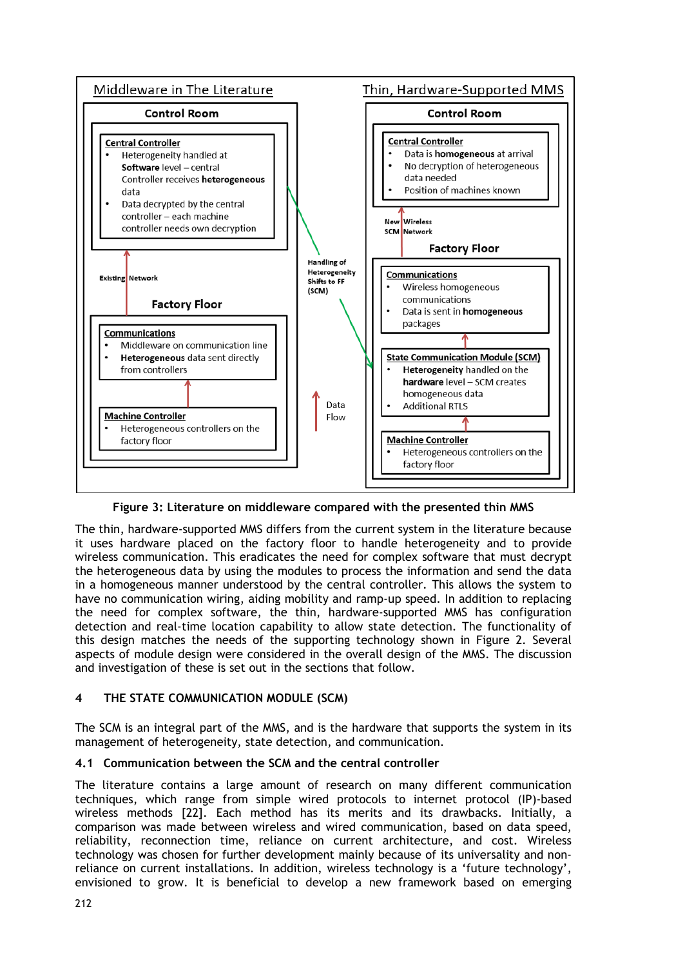

**Figure 3: Literature on middleware compared with the presented thin MMS**

The thin, hardware-supported MMS differs from the current system in the literature because it uses hardware placed on the factory floor to handle heterogeneity and to provide wireless communication. This eradicates the need for complex software that must decrypt the heterogeneous data by using the modules to process the information and send the data in a homogeneous manner understood by the central controller. This allows the system to have no communication wiring, aiding mobility and ramp-up speed. In addition to replacing the need for complex software, the thin, hardware-supported MMS has configuration detection and real-time location capability to allow state detection. The functionality of this design matches the needs of the supporting technology shown in Figure 2. Several aspects of module design were considered in the overall design of the MMS. The discussion and investigation of these is set out in the sections that follow.

# **4 THE STATE COMMUNICATION MODULE (SCM)**

The SCM is an integral part of the MMS, and is the hardware that supports the system in its management of heterogeneity, state detection, and communication.

# **4.1 Communication between the SCM and the central controller**

The literature contains a large amount of research on many different communication techniques, which range from simple wired protocols to internet protocol (IP)-based wireless methods [22]. Each method has its merits and its drawbacks. Initially, a comparison was made between wireless and wired communication, based on data speed, reliability, reconnection time, reliance on current architecture, and cost. Wireless technology was chosen for further development mainly because of its universality and nonreliance on current installations. In addition, wireless technology is a 'future technology', envisioned to grow. It is beneficial to develop a new framework based on emerging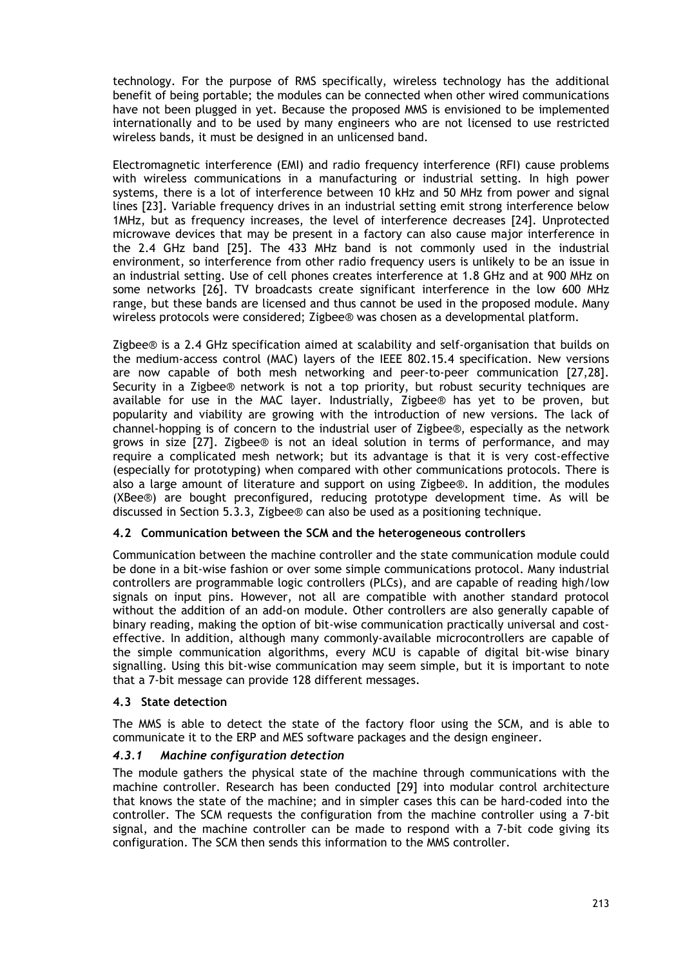technology. For the purpose of RMS specifically, wireless technology has the additional benefit of being portable; the modules can be connected when other wired communications have not been plugged in yet. Because the proposed MMS is envisioned to be implemented internationally and to be used by many engineers who are not licensed to use restricted wireless bands, it must be designed in an unlicensed band.

Electromagnetic interference (EMI) and radio frequency interference (RFI) cause problems with wireless communications in a manufacturing or industrial setting. In high power systems, there is a lot of interference between 10 kHz and 50 MHz from power and signal lines [23]. Variable frequency drives in an industrial setting emit strong interference below 1MHz, but as frequency increases, the level of interference decreases [24]. Unprotected microwave devices that may be present in a factory can also cause major interference in the 2.4 GHz band [25]. The 433 MHz band is not commonly used in the industrial environment, so interference from other radio frequency users is unlikely to be an issue in an industrial setting. Use of cell phones creates interference at 1.8 GHz and at 900 MHz on some networks [26]. TV broadcasts create significant interference in the low 600 MHz range, but these bands are licensed and thus cannot be used in the proposed module. Many wireless protocols were considered; Zigbee® was chosen as a developmental platform.

Zigbee*®* is a 2.4 GHz specification aimed at scalability and self-organisation that builds on the medium-access control (MAC) layers of the IEEE 802.15.4 specification. New versions are now capable of both mesh networking and peer-to-peer communication [27,28]. Security in a Zigbee® network is not a top priority, but robust security techniques are available for use in the MAC layer. Industrially, Zigbee® has yet to be proven, but popularity and viability are growing with the introduction of new versions. The lack of channel-hopping is of concern to the industrial user of Zigbee®, especially as the network grows in size [27]. Zigbee® is not an ideal solution in terms of performance, and may require a complicated mesh network; but its advantage is that it is very cost-effective (especially for prototyping) when compared with other communications protocols. There is also a large amount of literature and support on using Zigbee®. In addition, the modules (XBee®) are bought preconfigured, reducing prototype development time. As will be discussed in Section 5.3.3, Zigbee® can also be used as a positioning technique.

### **4.2 Communication between the SCM and the heterogeneous controllers**

Communication between the machine controller and the state communication module could be done in a bit-wise fashion or over some simple communications protocol. Many industrial controllers are programmable logic controllers (PLCs), and are capable of reading high/low signals on input pins. However, not all are compatible with another standard protocol without the addition of an add-on module. Other controllers are also generally capable of binary reading, making the option of bit-wise communication practically universal and costeffective. In addition, although many commonly-available microcontrollers are capable of the simple communication algorithms, every MCU is capable of digital bit-wise binary signalling. Using this bit-wise communication may seem simple, but it is important to note that a 7-bit message can provide 128 different messages.

### **4.3 State detection**

The MMS is able to detect the state of the factory floor using the SCM, and is able to communicate it to the ERP and MES software packages and the design engineer.

# *4.3.1 Machine configuration detection*

The module gathers the physical state of the machine through communications with the machine controller. Research has been conducted [29] into modular control architecture that knows the state of the machine; and in simpler cases this can be hard-coded into the controller. The SCM requests the configuration from the machine controller using a 7-bit signal, and the machine controller can be made to respond with a 7-bit code giving its configuration. The SCM then sends this information to the MMS controller.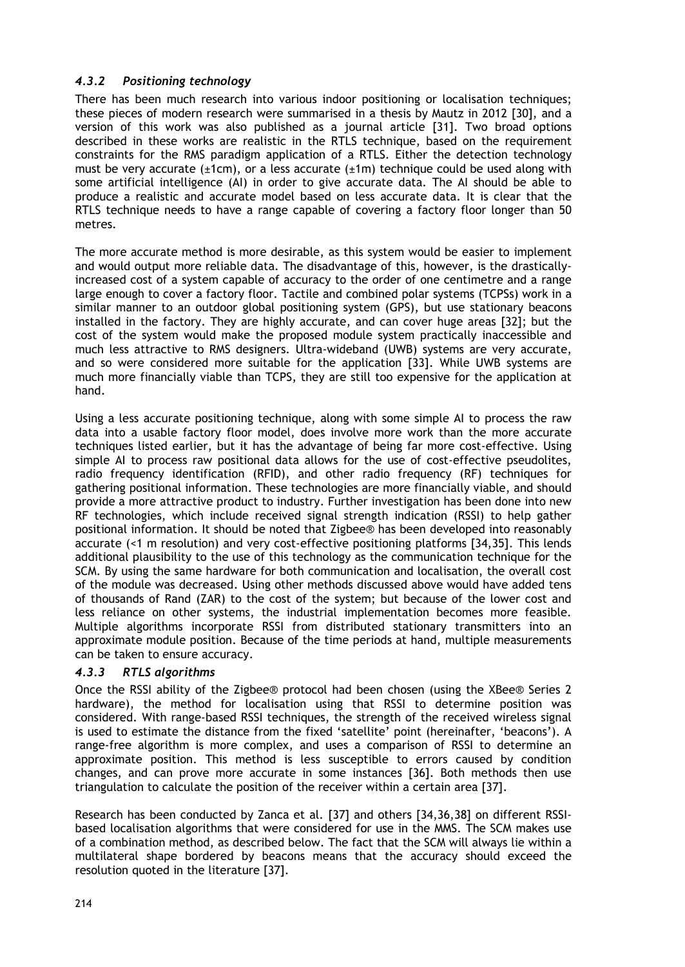# *4.3.2 Positioning technology*

There has been much research into various indoor positioning or localisation techniques; these pieces of modern research were summarised in a thesis by Mautz in 2012 [30], and a version of this work was also published as a journal article [31]. Two broad options described in these works are realistic in the RTLS technique, based on the requirement constraints for the RMS paradigm application of a RTLS. Either the detection technology must be very accurate ( $\pm 1$ cm), or a less accurate ( $\pm 1$ m) technique could be used along with some artificial intelligence (AI) in order to give accurate data. The AI should be able to produce a realistic and accurate model based on less accurate data. It is clear that the RTLS technique needs to have a range capable of covering a factory floor longer than 50 metres.

The more accurate method is more desirable, as this system would be easier to implement and would output more reliable data. The disadvantage of this, however, is the drasticallyincreased cost of a system capable of accuracy to the order of one centimetre and a range large enough to cover a factory floor. Tactile and combined polar systems (TCPSs) work in a similar manner to an outdoor global positioning system (GPS), but use stationary beacons installed in the factory. They are highly accurate, and can cover huge areas [32]; but the cost of the system would make the proposed module system practically inaccessible and much less attractive to RMS designers. Ultra-wideband (UWB) systems are very accurate, and so were considered more suitable for the application [33]. While UWB systems are much more financially viable than TCPS, they are still too expensive for the application at hand.

Using a less accurate positioning technique, along with some simple AI to process the raw data into a usable factory floor model, does involve more work than the more accurate techniques listed earlier, but it has the advantage of being far more cost-effective. Using simple AI to process raw positional data allows for the use of cost-effective pseudolites, radio frequency identification (RFID), and other radio frequency (RF) techniques for gathering positional information. These technologies are more financially viable, and should provide a more attractive product to industry. Further investigation has been done into new RF technologies, which include received signal strength indication (RSSI) to help gather positional information. It should be noted that Zigbee® has been developed into reasonably accurate (<1 m resolution) and very cost-effective positioning platforms [34,35]. This lends additional plausibility to the use of this technology as the communication technique for the SCM. By using the same hardware for both communication and localisation, the overall cost of the module was decreased. Using other methods discussed above would have added tens of thousands of Rand (ZAR) to the cost of the system; but because of the lower cost and less reliance on other systems, the industrial implementation becomes more feasible. Multiple algorithms incorporate RSSI from distributed stationary transmitters into an approximate module position. Because of the time periods at hand, multiple measurements can be taken to ensure accuracy.

# *4.3.3 RTLS algorithms*

Once the RSSI ability of the Zigbee® protocol had been chosen (using the XBee® Series 2 hardware), the method for localisation using that RSSI to determine position was considered. With range-based RSSI techniques, the strength of the received wireless signal is used to estimate the distance from the fixed 'satellite' point (hereinafter, 'beacons'). A range-free algorithm is more complex, and uses a comparison of RSSI to determine an approximate position. This method is less susceptible to errors caused by condition changes, and can prove more accurate in some instances [36]. Both methods then use triangulation to calculate the position of the receiver within a certain area [37].

Research has been conducted by Zanca et al. [37] and others [34,36,38] on different RSSIbased localisation algorithms that were considered for use in the MMS. The SCM makes use of a combination method, as described below. The fact that the SCM will always lie within a multilateral shape bordered by beacons means that the accuracy should exceed the resolution quoted in the literature [37].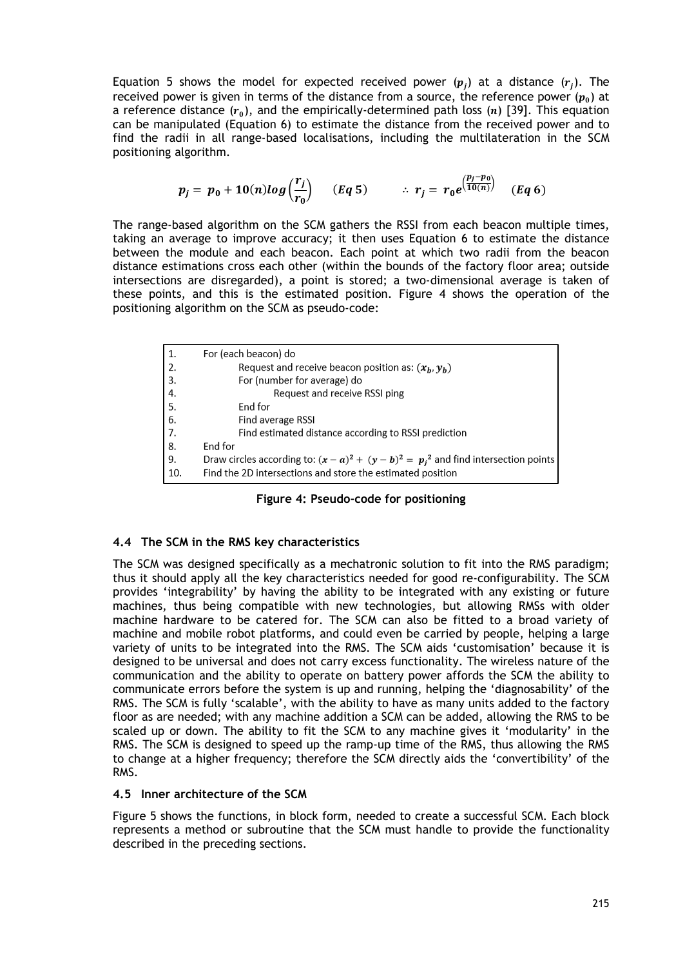Equation 5 shows the model for expected received power  $(p_i)$  at a distance  $(r_i)$ . The received power is given in terms of the distance from a source, the reference power  $(p_0)$  at a reference distance  $(r_0)$ , and the empirically-determined path loss  $(n)$  [39]. This equation can be manipulated (Equation 6) to estimate the distance from the received power and to find the radii in all range-based localisations, including the multilateration in the SCM positioning algorithm.

$$
p_j = p_0 + 10(n)log\left(\frac{r_j}{r_0}\right) \quad (Eq 5) \qquad \therefore r_j = r_0 e^{\left(\frac{p_j - p_0}{10(n)}\right)} \quad (Eq 6)
$$

The range-based algorithm on the SCM gathers the RSSI from each beacon multiple times, taking an average to improve accuracy; it then uses Equation 6 to estimate the distance between the module and each beacon. Each point at which two radii from the beacon distance estimations cross each other (within the bounds of the factory floor area; outside intersections are disregarded), a point is stored; a two-dimensional average is taken of these points, and this is the estimated position. Figure 4 shows the operation of the positioning algorithm on the SCM as pseudo-code:

| 1.  | For (each beacon) do                                                                    |
|-----|-----------------------------------------------------------------------------------------|
| 2.  | Request and receive beacon position as: $(x_h, y_h)$                                    |
| 3.  | For (number for average) do                                                             |
| 4.  | Request and receive RSSI ping                                                           |
| 5.  | End for                                                                                 |
| 6.  | Find average RSSI                                                                       |
| 7.  | Find estimated distance according to RSSI prediction                                    |
| 8.  | End for                                                                                 |
| 9.  | Draw circles according to: $(x - a)^2 + (y - b)^2 = p_i^2$ and find intersection points |
| 10. | Find the 2D intersections and store the estimated position                              |

|  | Figure 4: Pseudo-code for positioning |  |  |
|--|---------------------------------------|--|--|
|--|---------------------------------------|--|--|

### **4.4 The SCM in the RMS key characteristics**

The SCM was designed specifically as a mechatronic solution to fit into the RMS paradigm; thus it should apply all the key characteristics needed for good re-configurability. The SCM provides 'integrability' by having the ability to be integrated with any existing or future machines, thus being compatible with new technologies, but allowing RMSs with older machine hardware to be catered for. The SCM can also be fitted to a broad variety of machine and mobile robot platforms, and could even be carried by people, helping a large variety of units to be integrated into the RMS. The SCM aids 'customisation' because it is designed to be universal and does not carry excess functionality. The wireless nature of the communication and the ability to operate on battery power affords the SCM the ability to communicate errors before the system is up and running, helping the 'diagnosability' of the RMS. The SCM is fully 'scalable', with the ability to have as many units added to the factory floor as are needed; with any machine addition a SCM can be added, allowing the RMS to be scaled up or down. The ability to fit the SCM to any machine gives it 'modularity' in the RMS. The SCM is designed to speed up the ramp-up time of the RMS, thus allowing the RMS to change at a higher frequency; therefore the SCM directly aids the 'convertibility' of the RMS.

## **4.5 Inner architecture of the SCM**

Figure 5 shows the functions, in block form, needed to create a successful SCM. Each block represents a method or subroutine that the SCM must handle to provide the functionality described in the preceding sections.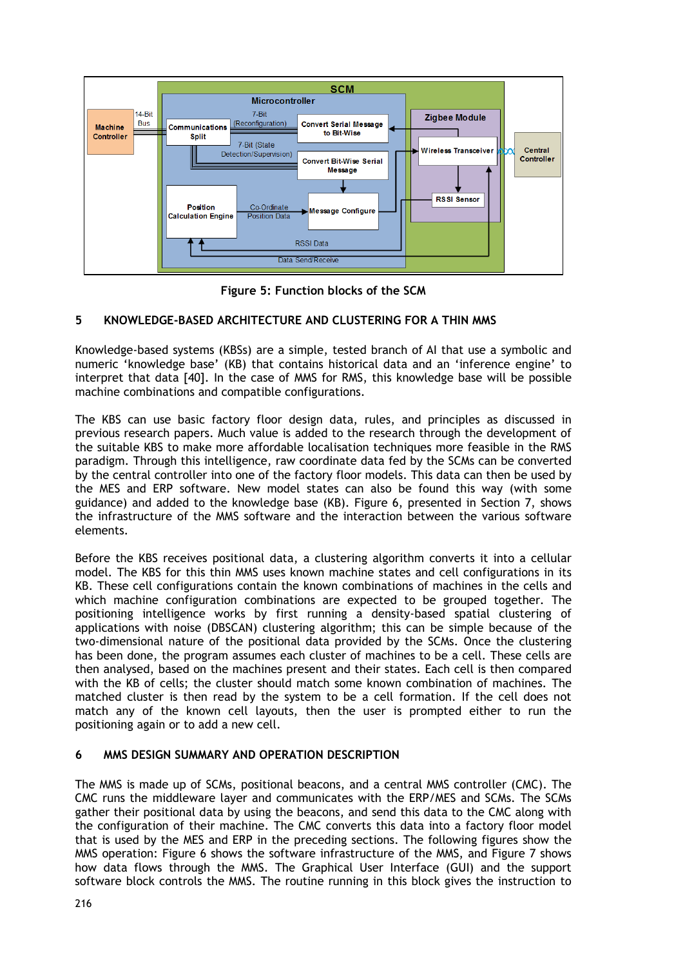

**Figure 5: Function blocks of the SCM**

# **5 KNOWLEDGE-BASED ARCHITECTURE AND CLUSTERING FOR A THIN MMS**

Knowledge-based systems (KBSs) are a simple, tested branch of [AI](http://www.webopedia.com/TERM/A/artificial_intelligence.html) that use a symbolic and numeric 'knowledge base' (KB) that contains historical data and an 'inference engine' to interpret that data [40]. In the case of MMS for RMS, this knowledge base will be possible machine combinations and compatible configurations.

The KBS can use basic factory floor design data, rules, and principles as discussed in previous research papers. Much value is added to the research through the development of the suitable KBS to make more affordable localisation techniques more feasible in the RMS paradigm. Through this intelligence, raw coordinate data fed by the SCMs can be converted by the central controller into one of the factory floor models. This data can then be used by the MES and ERP software. New model states can also be found this way (with some guidance) and added to the knowledge base (KB). Figure 6, presented in Section 7, shows the infrastructure of the MMS software and the interaction between the various software elements.

Before the KBS receives positional data, a clustering algorithm converts it into a cellular model. The KBS for this thin MMS uses known machine states and cell configurations in its KB. These cell configurations contain the known combinations of machines in the cells and which machine configuration combinations are expected to be grouped together. The positioning intelligence works by first running a density-based spatial clustering of applications with noise (DBSCAN) clustering algorithm; this can be simple because of the two-dimensional nature of the positional data provided by the SCMs. Once the clustering has been done, the program assumes each cluster of machines to be a cell. These cells are then analysed, based on the machines present and their states. Each cell is then compared with the KB of cells; the cluster should match some known combination of machines. The matched cluster is then read by the system to be a cell formation. If the cell does not match any of the known cell layouts, then the user is prompted either to run the positioning again or to add a new cell.

# **6 MMS DESIGN SUMMARY AND OPERATION DESCRIPTION**

The MMS is made up of SCMs, positional beacons, and a central MMS controller (CMC). The CMC runs the middleware layer and communicates with the ERP/MES and SCMs. The SCMs gather their positional data by using the beacons, and send this data to the CMC along with the configuration of their machine. The CMC converts this data into a factory floor model that is used by the MES and ERP in the preceding sections. The following figures show the MMS operation: Figure 6 shows the software infrastructure of the MMS, and Figure 7 shows how data flows through the MMS. The Graphical User Interface (GUI) and the support software block controls the MMS. The routine running in this block gives the instruction to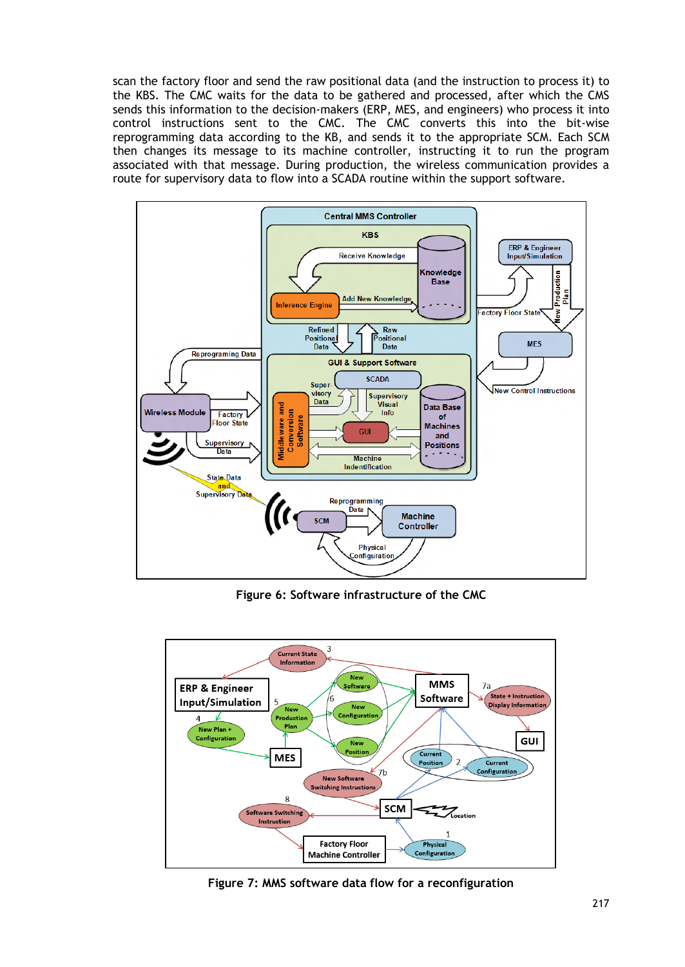scan the factory floor and send the raw positional data (and the instruction to process it) to the KBS. The CMC waits for the data to be gathered and processed, after which the CMS sends this information to the decision-makers (ERP, MES, and engineers) who process it into control instructions sent to the CMC. The CMC converts this into the bit-wise reprogramming data according to the KB, and sends it to the appropriate SCM. Each SCM then changes its message to its machine controller, instructing it to run the program associated with that message. During production, the wireless communication provides a route for supervisory data to flow into a SCADA routine within the support software.



**Figure 6: Software infrastructure of the CMC**



**Figure 7: MMS software data flow for a reconfiguration**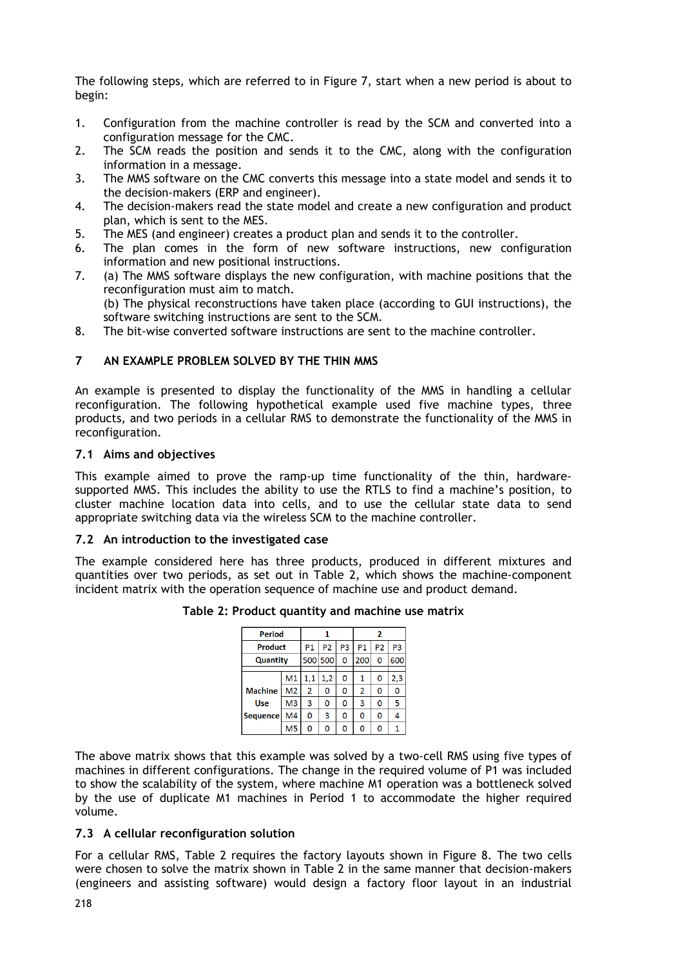The following steps, which are referred to in Figure 7, start when a new period is about to begin:

- 1. Configuration from the machine controller is read by the SCM and converted into a configuration message for the CMC.
- 2. The SCM reads the position and sends it to the CMC, along with the configuration information in a message.
- 3. The MMS software on the CMC converts this message into a state model and sends it to the decision-makers (ERP and engineer).
- 4. The decision-makers read the state model and create a new configuration and product plan, which is sent to the MES.
- 5. The MES (and engineer) creates a product plan and sends it to the controller.
- 6. The plan comes in the form of new software instructions, new configuration information and new positional instructions.
- 7. (a) The MMS software displays the new configuration, with machine positions that the reconfiguration must aim to match. (b) The physical reconstructions have taken place (according to GUI instructions), the software switching instructions are sent to the SCM.
- 8. The bit-wise converted software instructions are sent to the machine controller.

## **7 AN EXAMPLE PROBLEM SOLVED BY THE THIN MMS**

An example is presented to display the functionality of the MMS in handling a cellular reconfiguration. The following hypothetical example used five machine types, three products, and two periods in a cellular RMS to demonstrate the functionality of the MMS in reconfiguration.

#### **7.1 Aims and objectives**

This example aimed to prove the ramp-up time functionality of the thin, hardwaresupported MMS. This includes the ability to use the RTLS to find a machine's position, to cluster machine location data into cells, and to use the cellular state data to send appropriate switching data via the wireless SCM to the machine controller.

#### **7.2 An introduction to the investigated case**

The example considered here has three products, produced in different mixtures and quantities over two periods, as set out in Table 2, which shows the machine-component incident matrix with the operation sequence of machine use and product demand.

| Period          |                |                |     | 2         |                |                |     |
|-----------------|----------------|----------------|-----|-----------|----------------|----------------|-----|
| <b>Product</b>  | P1             | P <sub>2</sub> | P3  | <b>P1</b> | P <sub>2</sub> | P <sub>3</sub> |     |
| <b>Quantity</b> |                | 500 500        | 0   | 200       | 0              | 600            |     |
|                 |                |                |     |           |                |                |     |
|                 | M <sub>1</sub> | 1,1            | 1,2 | O         | 1              | 0              | 2,3 |
| <b>Machine</b>  | M <sub>2</sub> | $\overline{2}$ | 0   | 0         | $\overline{2}$ | 0              | 0   |
| <b>Use</b>      | M <sub>3</sub> | 3              | 0   | 0         | 3              | 0              | 5   |
| <b>Sequence</b> | M4             | 0              | 3   | 0         | 0              | 0              | 4   |
|                 | M5             | n              | O   | 0         | 0              | 0              | 1   |

#### **Table 2: Product quantity and machine use matrix**

The above matrix shows that this example was solved by a two-cell RMS using five types of machines in different configurations. The change in the required volume of P1 was included to show the scalability of the system, where machine M1 operation was a bottleneck solved by the use of duplicate M1 machines in Period 1 to accommodate the higher required volume.

#### **7.3 A cellular reconfiguration solution**

For a cellular RMS, Table 2 requires the factory layouts shown in Figure 8. The two cells were chosen to solve the matrix shown in Table 2 in the same manner that decision-makers (engineers and assisting software) would design a factory floor layout in an industrial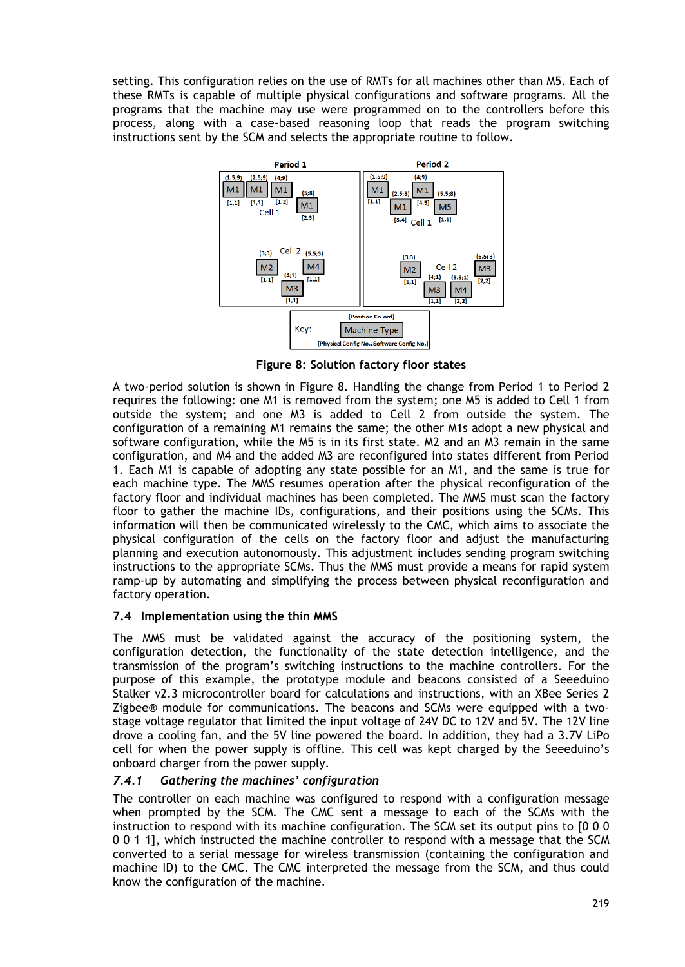setting. This configuration relies on the use of RMTs for all machines other than M5. Each of these RMTs is capable of multiple physical configurations and software programs. All the programs that the machine may use were programmed on to the controllers before this process, along with a case-based reasoning loop that reads the program switching instructions sent by the SCM and selects the appropriate routine to follow.



**Figure 8: Solution factory floor states**

A two-period solution is shown in Figure 8. Handling the change from Period 1 to Period 2 requires the following: one M1 is removed from the system; one M5 is added to Cell 1 from outside the system; and one M3 is added to Cell 2 from outside the system. The configuration of a remaining M1 remains the same; the other M1s adopt a new physical and software configuration, while the M5 is in its first state. M2 and an M3 remain in the same configuration, and M4 and the added M3 are reconfigured into states different from Period 1. Each M1 is capable of adopting any state possible for an M1, and the same is true for each machine type. The MMS resumes operation after the physical reconfiguration of the factory floor and individual machines has been completed. The MMS must scan the factory floor to gather the machine IDs, configurations, and their positions using the SCMs. This information will then be communicated wirelessly to the CMC, which aims to associate the physical configuration of the cells on the factory floor and adjust the manufacturing planning and execution autonomously. This adjustment includes sending program switching instructions to the appropriate SCMs. Thus the MMS must provide a means for rapid system ramp-up by automating and simplifying the process between physical reconfiguration and factory operation.

# **7.4 Implementation using the thin MMS**

The MMS must be validated against the accuracy of the positioning system, the configuration detection, the functionality of the state detection intelligence, and the transmission of the program's switching instructions to the machine controllers. For the purpose of this example, the prototype module and beacons consisted of a Seeeduino Stalker v2.3 microcontroller board for calculations and instructions, with an XBee Series 2 Zigbee® module for communications. The beacons and SCMs were equipped with a twostage voltage regulator that limited the input voltage of 24V DC to 12V and 5V. The 12V line drove a cooling fan, and the 5V line powered the board. In addition, they had a 3.7V LiPo cell for when the power supply is offline. This cell was kept charged by the Seeeduino's onboard charger from the power supply.

# *7.4.1 Gathering the machines' configuration*

The controller on each machine was configured to respond with a configuration message when prompted by the SCM. The CMC sent a message to each of the SCMs with the instruction to respond with its machine configuration. The SCM set its output pins to [0 0 0 0 0 1 1], which instructed the machine controller to respond with a message that the SCM converted to a serial message for wireless transmission (containing the configuration and machine ID) to the CMC. The CMC interpreted the message from the SCM, and thus could know the configuration of the machine.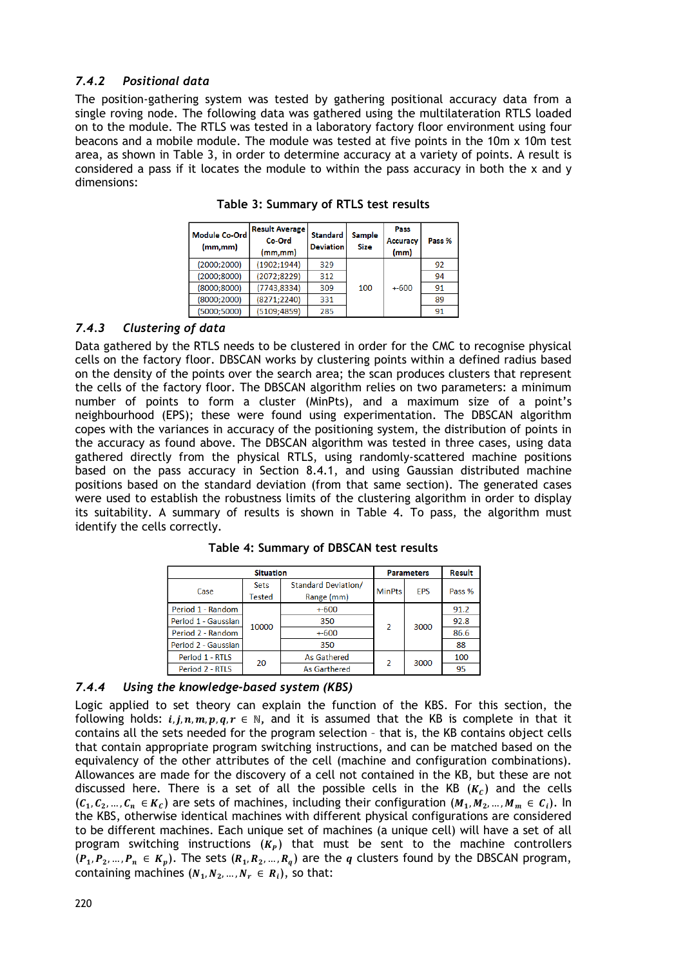# *7.4.2 Positional data*

The position-gathering system was tested by gathering positional accuracy data from a single roving node. The following data was gathered using the multilateration RTLS loaded on to the module. The RTLS was tested in a laboratory factory floor environment using four beacons and a mobile module. The module was tested at five points in the 10m x 10m test area, as shown in Table 3, in order to determine accuracy at a variety of points. A result is considered a pass if it locates the module to within the pass accuracy in both the x and y dimensions:

| <b>Module Co-Ord</b><br>(mm,mm) | <b>Result Average</b><br>Co-Ord<br>(mm,mm) | <b>Standard</b><br><b>Deviation</b> | <b>Sample</b><br><b>Size</b> | Pass<br><b>Accuracy</b><br>(mm) | Pass % |
|---------------------------------|--------------------------------------------|-------------------------------------|------------------------------|---------------------------------|--------|
| (2000; 2000)                    | (1902:1944)                                | 329                                 |                              |                                 | 92     |
| (2000; 8000)                    | (2072; 8229)                               | 312                                 |                              |                                 | 94     |
| (8000; 8000)                    | (7743, 8334)                               | 309                                 | 100                          | $+600$                          | 91     |
| (8000; 2000)                    | (8271; 2240)                               | 331                                 |                              |                                 | 89     |
| (5000; 5000)                    | (5109:4859)                                | 285                                 |                              |                                 | 91     |

**Table 3: Summary of RTLS test results**

# *7.4.3 Clustering of data*

Data gathered by the RTLS needs to be clustered in order for the CMC to recognise physical cells on the factory floor. DBSCAN works by clustering points within a defined radius based on the density of the points over the search area; the scan produces clusters that represent the cells of the factory floor. The DBSCAN algorithm relies on two parameters: a minimum number of points to form a cluster (MinPts), and a maximum size of a point's neighbourhood (EPS); these were found using experimentation. The DBSCAN algorithm copes with the variances in accuracy of the positioning system, the distribution of points in the accuracy as found above. The DBSCAN algorithm was tested in three cases, using data gathered directly from the physical RTLS, using randomly-scattered machine positions based on the pass accuracy in Section 8.4.1, and using Gaussian distributed machine positions based on the standard deviation (from that same section). The generated cases were used to establish the robustness limits of the clustering algorithm in order to display its suitability. A summary of results is shown in Table 4. To pass, the algorithm must identify the cells correctly.

|                     | <b>Parameters</b> | <b>Result</b>              |                          |            |        |
|---------------------|-------------------|----------------------------|--------------------------|------------|--------|
| Case                | <b>Sets</b>       | <b>Standard Deviation/</b> | <b>MinPts</b>            | <b>FPS</b> | Pass % |
|                     | Tested            | Range (mm)                 |                          |            |        |
| Period 1 - Random   |                   | $+600$                     | $\overline{\phantom{a}}$ | 3000       | 91.2   |
| Period 1 - Gaussian | 10000             | 350                        |                          |            | 92.8   |
| Period 2 - Random   |                   | $+600$                     |                          |            | 86.6   |
| Period 2 - Gaussian |                   | 350                        |                          |            | 88     |
| Period 1 - RTLS     | 20                | As Gathered                | $\overline{\phantom{a}}$ | 3000       | 100    |
| Period 2 - RTLS     |                   | <b>As Garthered</b>        |                          |            | 95     |

**Table 4: Summary of DBSCAN test results**

### *7.4.4 Using the knowledge-based system (KBS)*

Logic applied to set theory can explain the function of the KBS. For this section, the following holds:  $i, j, n, m, p, q, r \in \mathbb{N}$ , and it is assumed that the KB is complete in that it contains all the sets needed for the program selection – that is, the KB contains object cells that contain appropriate program switching instructions, and can be matched based on the equivalency of the other attributes of the cell (machine and configuration combinations). Allowances are made for the discovery of a cell not contained in the KB, but these are not discussed here. There is a set of all the possible cells in the KB  $(K<sub>c</sub>)$  and the cells  $(C_1, C_2, ..., C_n \in K_c)$  are sets of machines, including their configuration  $(M_1, M_2, ..., M_m \in C_i)$ . In the KBS, otherwise identical machines with different physical configurations are considered to be different machines. Each unique set of machines (a unique cell) will have a set of all program switching instructions  $(K_P)$  that must be sent to the machine controllers  $(P_1, P_2, ..., P_n \in K_p)$ . The sets  $(R_1, R_2, ..., R_q)$  are the q clusters found by the DBSCAN program, containing machines  $(N_1, N_2, ..., N_r \in R_i)$ , so that: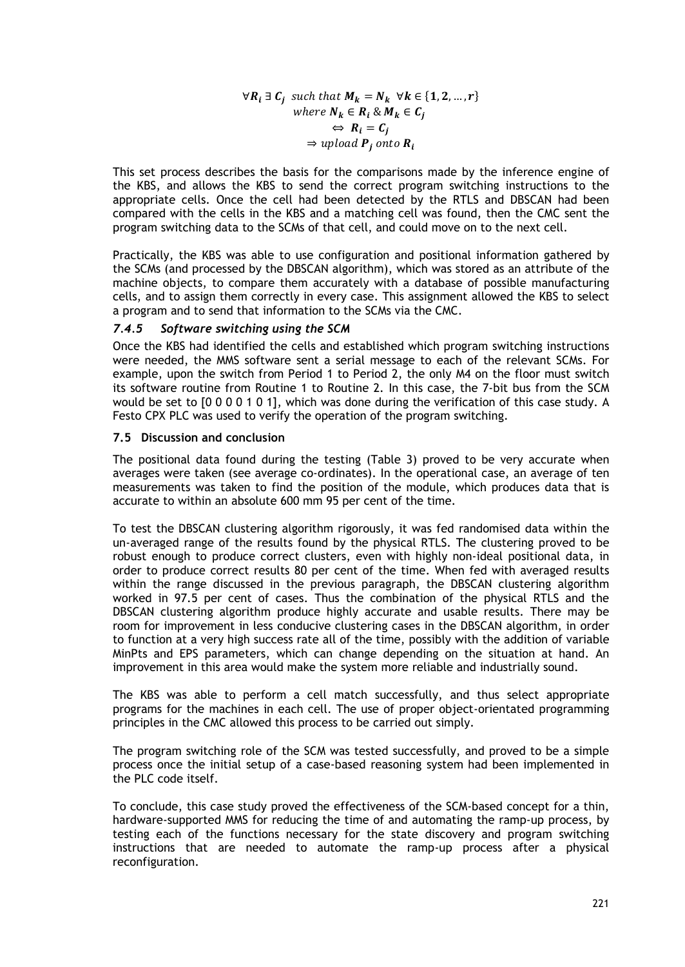$\forall R_i \exists C_i$  such that  $M_k = N_k \ \forall k \in \{1, 2, ..., r\}$ where  $N_k \in R_i \& M_k \in C_i$  $\Leftrightarrow R_i = C_j$  $\Rightarrow$  upload **P**<sub>i</sub> onto **R**<sub>i</sub>

This set process describes the basis for the comparisons made by the inference engine of the KBS, and allows the KBS to send the correct program switching instructions to the appropriate cells. Once the cell had been detected by the RTLS and DBSCAN had been compared with the cells in the KBS and a matching cell was found, then the CMC sent the program switching data to the SCMs of that cell, and could move on to the next cell.

Practically, the KBS was able to use configuration and positional information gathered by the SCMs (and processed by the DBSCAN algorithm), which was stored as an attribute of the machine objects, to compare them accurately with a database of possible manufacturing cells, and to assign them correctly in every case. This assignment allowed the KBS to select a program and to send that information to the SCMs via the CMC.

### *7.4.5 Software switching using the SCM*

Once the KBS had identified the cells and established which program switching instructions were needed, the MMS software sent a serial message to each of the relevant SCMs. For example, upon the switch from Period 1 to Period 2, the only M4 on the floor must switch its software routine from Routine 1 to Routine 2. In this case, the 7-bit bus from the SCM would be set to [0 0 0 0 1 0 1], which was done during the verification of this case study. A Festo CPX PLC was used to verify the operation of the program switching.

#### **7.5 Discussion and conclusion**

The positional data found during the testing (Table 3) proved to be very accurate when averages were taken (see average co-ordinates). In the operational case, an average of ten measurements was taken to find the position of the module, which produces data that is accurate to within an absolute 600 mm 95 per cent of the time.

To test the DBSCAN clustering algorithm rigorously, it was fed randomised data within the un-averaged range of the results found by the physical RTLS. The clustering proved to be robust enough to produce correct clusters, even with highly non-ideal positional data, in order to produce correct results 80 per cent of the time. When fed with averaged results within the range discussed in the previous paragraph, the DBSCAN clustering algorithm worked in 97.5 per cent of cases. Thus the combination of the physical RTLS and the DBSCAN clustering algorithm produce highly accurate and usable results. There may be room for improvement in less conducive clustering cases in the DBSCAN algorithm, in order to function at a very high success rate all of the time, possibly with the addition of variable MinPts and EPS parameters, which can change depending on the situation at hand. An improvement in this area would make the system more reliable and industrially sound.

The KBS was able to perform a cell match successfully, and thus select appropriate programs for the machines in each cell. The use of proper object-orientated programming principles in the CMC allowed this process to be carried out simply.

The program switching role of the SCM was tested successfully, and proved to be a simple process once the initial setup of a case-based reasoning system had been implemented in the PLC code itself.

To conclude, this case study proved the effectiveness of the SCM-based concept for a thin, hardware-supported MMS for reducing the time of and automating the ramp-up process, by testing each of the functions necessary for the state discovery and program switching instructions that are needed to automate the ramp-up process after a physical reconfiguration.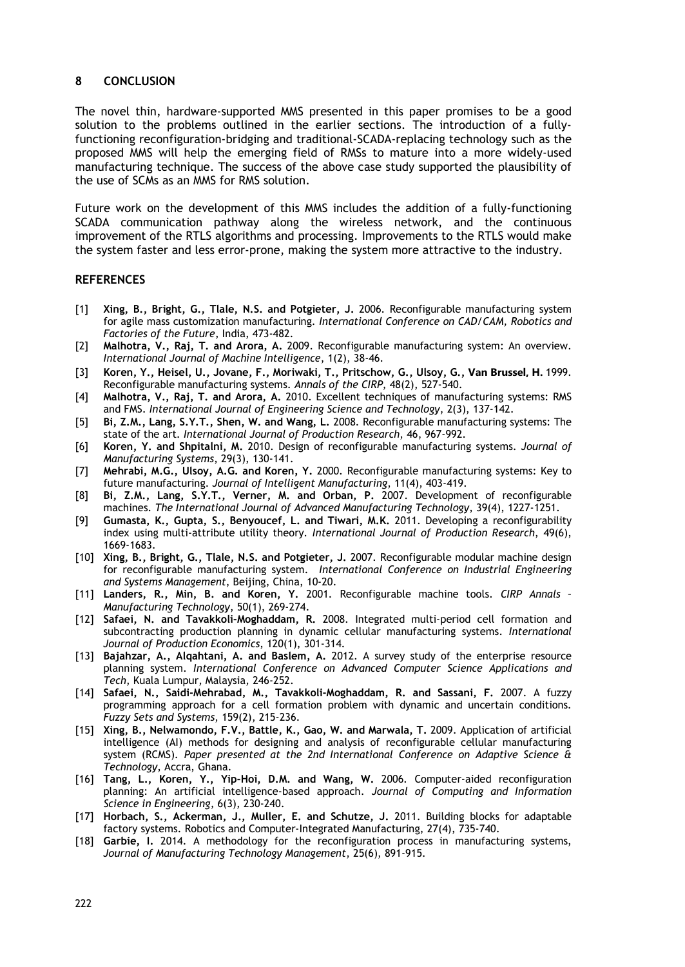#### **8 CONCLUSION**

The novel thin, hardware-supported MMS presented in this paper promises to be a good solution to the problems outlined in the earlier sections. The introduction of a fullyfunctioning reconfiguration-bridging and traditional-SCADA-replacing technology such as the proposed MMS will help the emerging field of RMSs to mature into a more widely-used manufacturing technique. The success of the above case study supported the plausibility of the use of SCMs as an MMS for RMS solution.

Future work on the development of this MMS includes the addition of a fully-functioning SCADA communication pathway along the wireless network, and the continuous improvement of the RTLS algorithms and processing. Improvements to the RTLS would make the system faster and less error-prone, making the system more attractive to the industry.

#### **REFERENCES**

- [1] **Xing, B., Bright, G., Tlale, N.S. and Potgieter, J.** 2006. Reconfigurable manufacturing system for agile mass customization manufacturing*. International Conference on CAD/CAM, Robotics and Factories of the Future*, India, 473-482.
- [2] **Malhotra, V., Raj, T. and Arora, A.** 2009. Reconfigurable manufacturing system: An overview. *International Journal of Machine Intelligence*, 1(2), 38-46.
- [3] **Koren, Y., Heisel, U., Jovane, F., Moriwaki, T., Pritschow, G., Ulsoy, G., Van Brussel, H.** 1999. Reconfigurable manufacturing systems. *Annals of the CIRP*, 48(2), 527-540.
- [4] **Malhotra, V., Raj, T. and Arora, A.** 2010. Excellent techniques of manufacturing systems: RMS and FMS. *International Journal of Engineering Science and Technology*, 2(3), 137-142.
- [5] **Bi, Z.M., Lang, S.Y.T., Shen, W. and Wang, L.** 2008. Reconfigurable manufacturing systems: The state of the art. *International Journal of Production Research*, 46, 967-992.
- [6] **Koren, Y. and Shpitalni, M.** 2010. Design of reconfigurable manufacturing systems. *Journal of Manufacturing Systems*, 29(3), 130-141.
- [7] **Mehrabi, M.G., Ulsoy, A.G. and Koren, Y.** 2000. Reconfigurable manufacturing systems: Key to future manufacturing. *Journal of Intelligent Manufacturing*, 11(4), 403-419.
- [8] **Bi, Z.M., Lang, S.Y.T., Verner, M. and Orban, P.** 2007. Development of reconfigurable machines. *The International Journal of Advanced Manufacturing Technology*, 39(4), 1227-1251.
- [9] **Gumasta, K., Gupta, S., Benyoucef, L. and Tiwari, M.K.** 2011. Developing a reconfigurability index using multi-attribute utility theory*. International Journal of Production Research*, 49(6), 1669-1683.
- [10] **Xing, B., Bright, G., Tlale, N.S. and Potgieter, J.** 2007. Reconfigurable modular machine design for reconfigurable manufacturing system. *International Conference on Industrial Engineering and Systems Management*, Beijing, China, 10-20.
- [11] **Landers, R., Min, B. and Koren, Y.** 2001. Reconfigurable machine tools. *CIRP Annals – Manufacturing Technology*, 50(1), 269-274.
- [12] **Safaei, N. and Tavakkoli-Moghaddam, R.** 2008. Integrated multi-period cell formation and subcontracting production planning in dynamic cellular manufacturing systems. *International Journal of Production Economics*, 120(1), 301-314.
- [13] **Bajahzar, A., Alqahtani, A. and Baslem, A.** 2012. A survey study of the enterprise resource planning system. *International Conference on Advanced Computer Science Applications and Tech*, Kuala Lumpur, Malaysia, 246-252.
- [14] **Safaei, N., Saidi-Mehrabad, M., Tavakkoli-Moghaddam, R. and Sassani, F.** 2007. A fuzzy programming approach for a cell formation problem with dynamic and uncertain conditions. *Fuzzy Sets and Systems*, 159(2), 215-236.
- [15] **Xing, B., Nelwamondo, F.V., Battle, K., Gao, W. and Marwala, T.** 2009. Application of artificial intelligence (AI) methods for designing and analysis of reconfigurable cellular manufacturing system (RCMS). *Paper presented at the 2nd International Conference on Adaptive Science & Technology*, Accra, Ghana.
- [16] **Tang, L., Koren, Y., Yip-Hoi, D.M. and Wang, W.** 2006. Computer-aided reconfiguration planning: An artificial intelligence-based approach. *Journal of Computing and Information Science in Engineering*, 6(3), 230-240.
- [17] **Horbach, S., Ackerman, J., Muller, E. and Schutze, J.** 2011. Building blocks for adaptable factory systems. Robotics and Computer-Integrated Manufacturing, 27(4), 735-740.
- [18] **Garbie, I.** 2014. A methodology for the reconfiguration process in manufacturing systems, *Journal of Manufacturing Technology Management*, 25(6), 891-915.